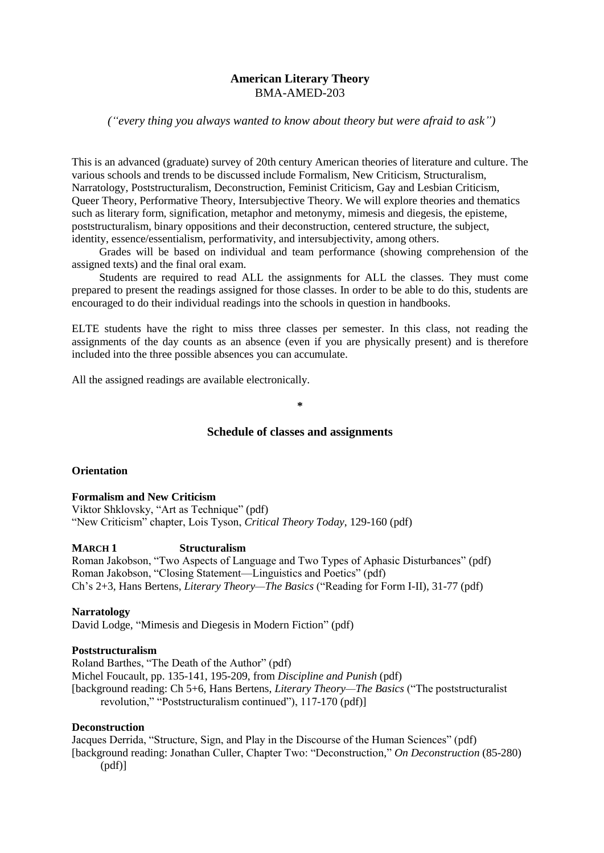# **American Literary Theory** BMA-AMED-203

# *("every thing you always wanted to know about theory but were afraid to ask")*

This is an advanced (graduate) survey of 20th century American theories of literature and culture. The various schools and trends to be discussed include Formalism, New Criticism, Structuralism, Narratology, Poststructuralism, Deconstruction, Feminist Criticism, Gay and Lesbian Criticism, Queer Theory, Performative Theory, Intersubjective Theory. We will explore theories and thematics such as literary form, signification, metaphor and metonymy, mimesis and diegesis, the episteme, poststructuralism, binary oppositions and their deconstruction, centered structure, the subject, identity, essence/essentialism, performativity, and intersubjectivity, among others.

Grades will be based on individual and team performance (showing comprehension of the assigned texts) and the final oral exam.

Students are required to read ALL the assignments for ALL the classes. They must come prepared to present the readings assigned for those classes. In order to be able to do this, students are encouraged to do their individual readings into the schools in question in handbooks.

ELTE students have the right to miss three classes per semester. In this class, not reading the assignments of the day counts as an absence (even if you are physically present) and is therefore included into the three possible absences you can accumulate.

All the assigned readings are available electronically.

# **Schedule of classes and assignments**

**\***

# **Orientation**

**Formalism and New Criticism** Viktor Shklovsky, "Art as Technique" (pdf) "New Criticism" chapter, Lois Tyson, *Critical Theory Today*, 129-160 (pdf)

#### **MARCH 1 Structuralism**

Roman Jakobson, "Two Aspects of Language and Two Types of Aphasic Disturbances" (pdf) Roman Jakobson, "Closing Statement—Linguistics and Poetics" (pdf) Ch's 2+3, Hans Bertens, *Literary Theory—The Basics* ("Reading for Form I-II), 31-77 (pdf)

#### **Narratology**

David Lodge, "Mimesis and Diegesis in Modern Fiction" (pdf)

#### **Poststructuralism**

Roland Barthes, "The Death of the Author" (pdf) Michel Foucault, pp. 135-141, 195-209, from *Discipline and Punish* (pdf) [background reading: Ch 5+6, Hans Bertens, *Literary Theory—The Basics* ("The poststructuralist revolution," "Poststructuralism continued"), 117-170 (pdf)]

#### **Deconstruction**

Jacques Derrida, "Structure, Sign, and Play in the Discourse of the Human Sciences" (pdf) [background reading: Jonathan Culler, Chapter Two: "Deconstruction," *On Deconstruction* (85-280) (pdf)]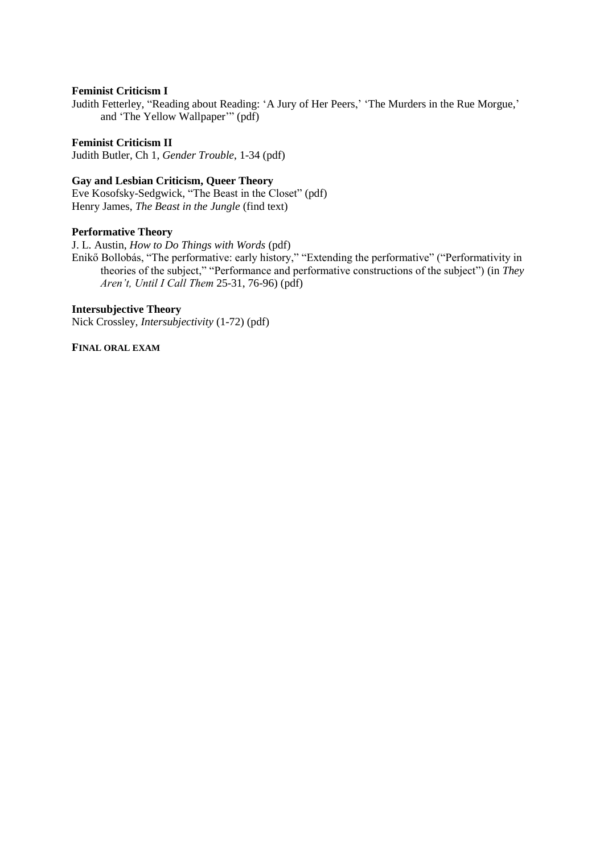# **Feminist Criticism I**

Judith Fetterley, "Reading about Reading: 'A Jury of Her Peers,' 'The Murders in the Rue Morgue,' and 'The Yellow Wallpaper'" (pdf)

**Feminist Criticism II** Judith Butler, Ch 1, *Gender Trouble*, 1-34 (pdf)

# **Gay and Lesbian Criticism, Queer Theory**

Eve Kosofsky-Sedgwick, "The Beast in the Closet" (pdf) Henry James, *The Beast in the Jungle* (find text)

# **Performative Theory**

J. L. Austin, *How to Do Things with Words* (pdf)

Enikő Bollobás, "The performative: early history," "Extending the performative" ("Performativity in theories of the subject," "Performance and performative constructions of the subject") (in *They Aren't, Until I Call Them* 25-31, 76-96) (pdf)

# **Intersubjective Theory**

Nick Crossley, *Intersubjectivity* (1-72) (pdf)

**FINAL ORAL EXAM**